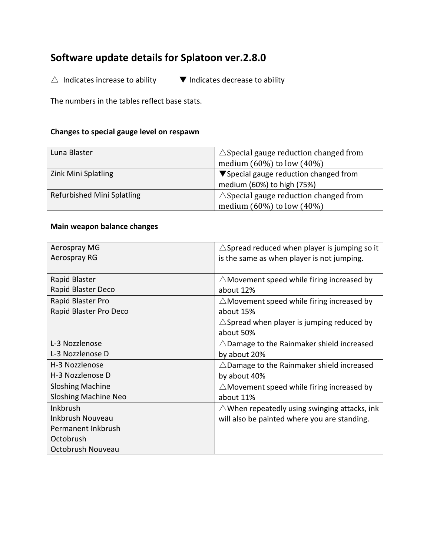# **Software update details for Splatoon ver.2.8.0**

 $\triangle$  Indicates increase to ability  $\blacksquare$  Indicates decrease to ability

The numbers in the tables reflect base stats.

## **Changes to special gauge level on respawn**

| Luna Blaster               | $\triangle$ Special gauge reduction changed from |
|----------------------------|--------------------------------------------------|
|                            | medium $(60\%)$ to low $(40\%)$                  |
| Zink Mini Splatling        | ▼ Special gauge reduction changed from           |
|                            | medium (60%) to high (75%)                       |
| Refurbished Mini Splatling | $\triangle$ Special gauge reduction changed from |
|                            | medium $(60\%)$ to low $(40\%)$                  |

#### **Main weapon balance changes**

| Aerospray MG                | $\triangle$ Spread reduced when player is jumping so it |
|-----------------------------|---------------------------------------------------------|
| Aerospray RG                | is the same as when player is not jumping.              |
|                             |                                                         |
| Rapid Blaster               | $\triangle$ Movement speed while firing increased by    |
| Rapid Blaster Deco          | about 12%                                               |
| Rapid Blaster Pro           | $\triangle$ Movement speed while firing increased by    |
| Rapid Blaster Pro Deco      | about 15%                                               |
|                             | $\triangle$ Spread when player is jumping reduced by    |
|                             | about 50%                                               |
| L-3 Nozzlenose              | $\triangle$ Damage to the Rainmaker shield increased    |
| L-3 Nozzlenose D            | by about 20%                                            |
| H-3 Nozzlenose              | $\triangle$ Damage to the Rainmaker shield increased    |
| H-3 Nozzlenose D            | by about 40%                                            |
| <b>Sloshing Machine</b>     | $\triangle$ Movement speed while firing increased by    |
| <b>Sloshing Machine Neo</b> | about 11%                                               |
| Inkbrush                    | $\triangle$ When repeatedly using swinging attacks, ink |
| Inkbrush Nouveau            | will also be painted where you are standing.            |
| Permanent Inkbrush          |                                                         |
| Octobrush                   |                                                         |
| Octobrush Nouveau           |                                                         |